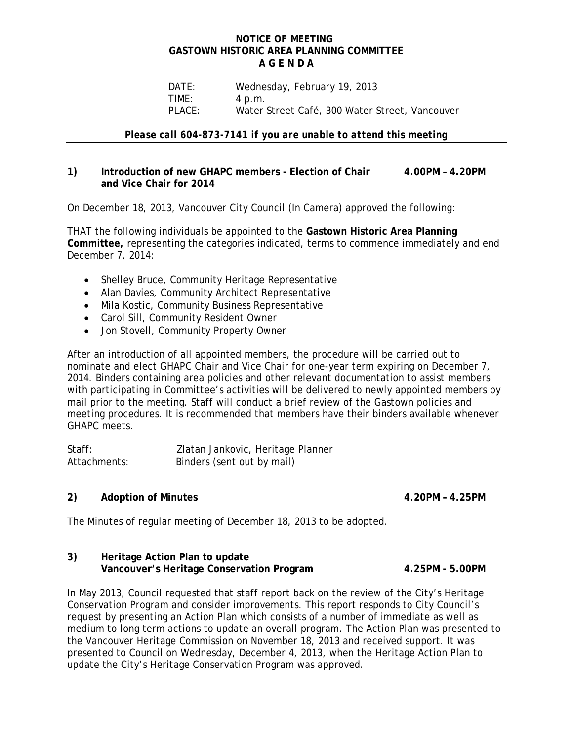### **NOTICE OF MEETING GASTOWN HISTORIC AREA PLANNING COMMITTEE A G E N D A**

 DATE: Wednesday, February 19, 2013 TIME: 4 p.m. PLACE: Water Street Café, 300 Water Street, Vancouver

*Please call 604-873-7141 if you are unable to attend this meeting* 

## **1) Introduction of new GHAPC members - Election of Chair 4.00PM – 4.20PM and Vice Chair for 2014**

On December 18, 2013, Vancouver City Council (In Camera) approved the following:

THAT the following individuals be appointed to the **Gastown Historic Area Planning Committee,** representing the categories indicated, terms to commence immediately and end December 7, 2014:

- Shelley Bruce, Community Heritage Representative
- Alan Davies, Community Architect Representative
- Mila Kostic, Community Business Representative
- Carol Sill, Community Resident Owner
- Jon Stovell, Community Property Owner

After an introduction of all appointed members, the procedure will be carried out to nominate and elect GHAPC Chair and Vice Chair for one-year term expiring on December 7, 2014. Binders containing area policies and other relevant documentation to assist members with participating in Committee's activities will be delivered to newly appointed members by mail prior to the meeting. Staff will conduct a brief review of the Gastown policies and meeting procedures. It is recommended that members have their binders available whenever GHAPC meets.

| Staff:       | Zlatan Jankovic, Heritage Planner |
|--------------|-----------------------------------|
| Attachments: | Binders (sent out by mail)        |

# **2) Adoption of Minutes 4.20PM – 4.25PM**

The Minutes of regular meeting of December 18, 2013 to be adopted.

### **3) Heritage Action Plan to update Vancouver's Heritage Conservation Program 4.25PM - 5.00PM**

In May 2013, Council requested that staff report back on the review of the City's Heritage Conservation Program and consider improvements. This report responds to City Council's request by presenting an Action Plan which consists of a number of immediate as well as medium to long term actions to update an overall program. The Action Plan was presented to the Vancouver Heritage Commission on November 18, 2013 and received support. It was presented to Council on Wednesday, December 4, 2013, when the Heritage Action Plan to update the City's Heritage Conservation Program was approved.